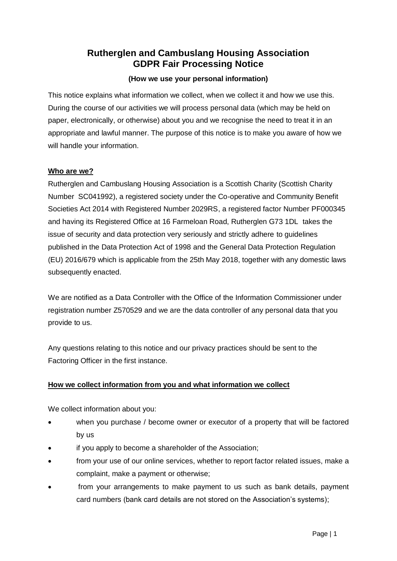# **Rutherglen and Cambuslang Housing Association GDPR Fair Processing Notice**

## **(How we use your personal information)**

This notice explains what information we collect, when we collect it and how we use this. During the course of our activities we will process personal data (which may be held on paper, electronically, or otherwise) about you and we recognise the need to treat it in an appropriate and lawful manner. The purpose of this notice is to make you aware of how we will handle your information.

### **Who are we?**

Rutherglen and Cambuslang Housing Association is a Scottish Charity (Scottish Charity Number SC041992), a registered society under the Co-operative and Community Benefit Societies Act 2014 with Registered Number 2029RS, a registered factor Number PF000345 and having its Registered Office at 16 Farmeloan Road, Rutherglen G73 1DL takes the issue of security and data protection very seriously and strictly adhere to guidelines published in the Data Protection Act of 1998 and the General Data Protection Regulation (EU) 2016/679 which is applicable from the 25th May 2018, together with any domestic laws subsequently enacted.

We are notified as a Data Controller with the Office of the Information Commissioner under registration number Z570529 and we are the data controller of any personal data that you provide to us.

Any questions relating to this notice and our privacy practices should be sent to the Factoring Officer in the first instance.

## **How we collect information from you and what information we collect**

We collect information about you:

- when you purchase / become owner or executor of a property that will be factored by us
- if you apply to become a shareholder of the Association;
- from your use of our online services, whether to report factor related issues, make a complaint, make a payment or otherwise;
- from your arrangements to make payment to us such as bank details, payment card numbers (bank card details are not stored on the Association's systems);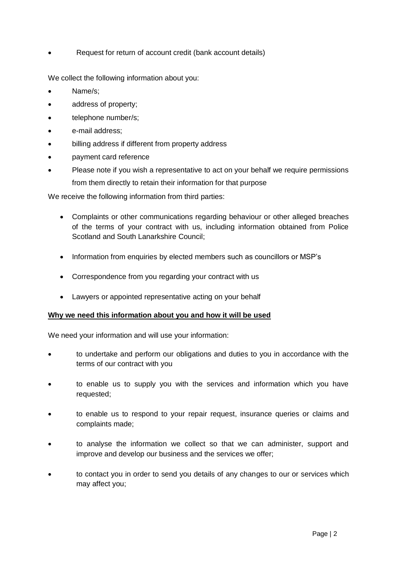Request for return of account credit (bank account details)

We collect the following information about you:

- Name/s;
- address of property;
- telephone number/s:
- e-mail address;
- billing address if different from property address
- payment card reference
- Please note if you wish a representative to act on your behalf we require permissions from them directly to retain their information for that purpose

We receive the following information from third parties:

- Complaints or other communications regarding behaviour or other alleged breaches of the terms of your contract with us, including information obtained from Police Scotland and South Lanarkshire Council;
- Information from enquiries by elected members such as councillors or MSP's
- Correspondence from you regarding your contract with us
- Lawyers or appointed representative acting on your behalf

#### **Why we need this information about you and how it will be used**

We need your information and will use your information:

- to undertake and perform our obligations and duties to you in accordance with the terms of our contract with you
- to enable us to supply you with the services and information which you have requested;
- to enable us to respond to your repair request, insurance queries or claims and complaints made;
- to analyse the information we collect so that we can administer, support and improve and develop our business and the services we offer;
- to contact you in order to send you details of any changes to our or services which may affect you;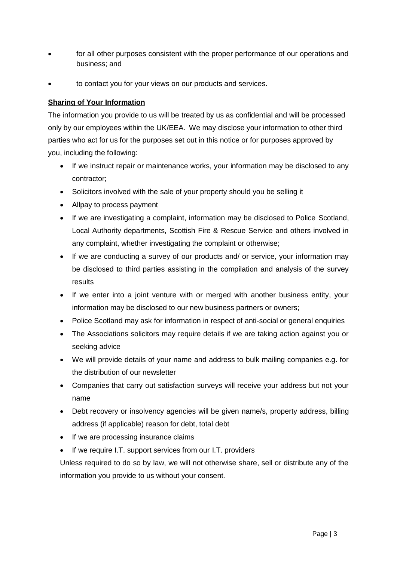- for all other purposes consistent with the proper performance of our operations and business; and
- to contact you for your views on our products and services.

### **Sharing of Your Information**

The information you provide to us will be treated by us as confidential and will be processed only by our employees within the UK/EEA. We may disclose your information to other third parties who act for us for the purposes set out in this notice or for purposes approved by you, including the following:

- If we instruct repair or maintenance works, your information may be disclosed to any contractor;
- Solicitors involved with the sale of your property should you be selling it
- Allpay to process payment
- If we are investigating a complaint, information may be disclosed to Police Scotland, Local Authority departments, Scottish Fire & Rescue Service and others involved in any complaint, whether investigating the complaint or otherwise;
- If we are conducting a survey of our products and/ or service, your information may be disclosed to third parties assisting in the compilation and analysis of the survey results
- If we enter into a joint venture with or merged with another business entity, your information may be disclosed to our new business partners or owners;
- Police Scotland may ask for information in respect of anti-social or general enquiries
- The Associations solicitors may require details if we are taking action against you or seeking advice
- We will provide details of your name and address to bulk mailing companies e.g. for the distribution of our newsletter
- Companies that carry out satisfaction surveys will receive your address but not your name
- Debt recovery or insolvency agencies will be given name/s, property address, billing address (if applicable) reason for debt, total debt
- If we are processing insurance claims
- If we require I.T. support services from our I.T. providers

Unless required to do so by law, we will not otherwise share, sell or distribute any of the information you provide to us without your consent.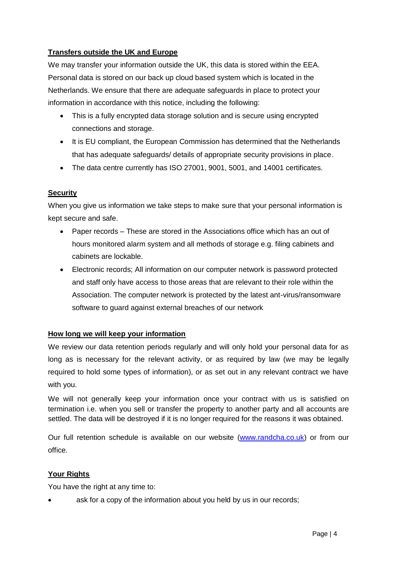## **Transfers outside the UK and Europe**

We may transfer your information outside the UK, this data is stored within the EEA. Personal data is stored on our back up cloud based system which is located in the Netherlands. We ensure that there are adequate safeguards in place to protect your information in accordance with this notice, including the following:

- This is a fully encrypted data storage solution and is secure using encrypted connections and storage.
- It is EU compliant, the European Commission has determined that the Netherlands that has adequate safeguards/ details of appropriate security provisions in place.
- The data centre currently has ISO 27001, 9001, 5001, and 14001 certificates.

## **Security**

When you give us information we take steps to make sure that your personal information is kept secure and safe.

- Paper records These are stored in the Associations office which has an out of hours monitored alarm system and all methods of storage e.g. filing cabinets and cabinets are lockable.
- Electronic records; All information on our computer network is password protected and staff only have access to those areas that are relevant to their role within the Association. The computer network is protected by the latest ant-virus/ransomware software to guard against external breaches of our network

## **How long we will keep your information**

We review our data retention periods regularly and will only hold your personal data for as long as is necessary for the relevant activity, or as required by law (we may be legally required to hold some types of information), or as set out in any relevant contract we have with you.

We will not generally keep your information once your contract with us is satisfied on termination i.e. when you sell or transfer the property to another party and all accounts are settled. The data will be destroyed if it is no longer required for the reasons it was obtained.

Our full retention schedule is available on our website [\(www.randcha.co.uk\)](http://www.randcha.co.uk/) or from our office.

## **Your Rights**

You have the right at any time to:

ask for a copy of the information about you held by us in our records;